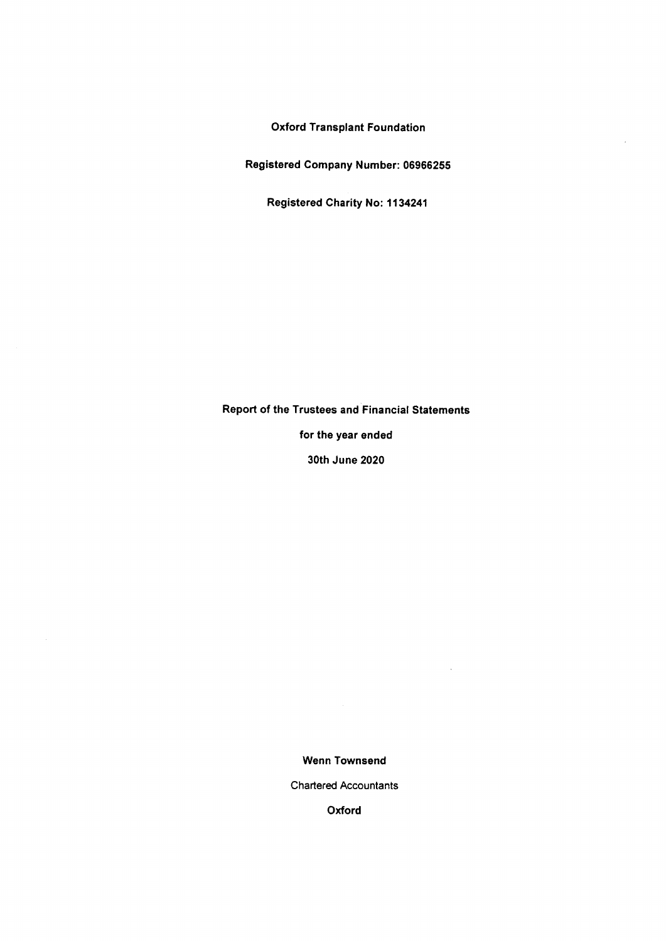Oxford Transplant Foundation

Registered Company Number: 06966255

Registered Charity No: 1134241

# Report of the Trustees and Financial Statements

for the year ended

30th June 2020

Wenn Townsend

 $\ddot{\phantom{a}}$ 

Chartered Accountants

Oxford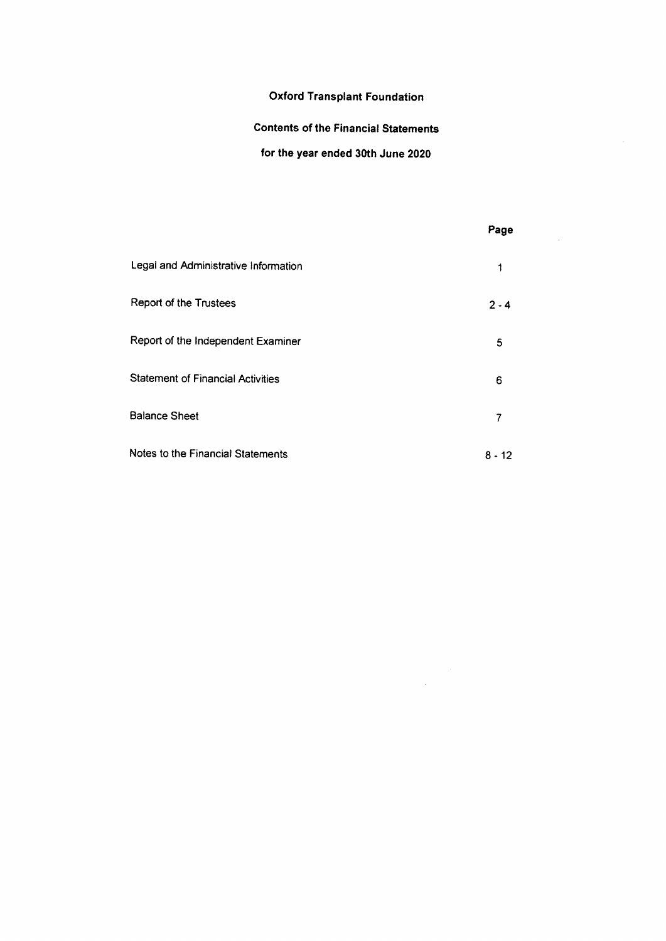# Oxford Transplant Foundation

# Contents of the Financial Statements

# for the year ended 30th June 2020

 $\mathcal{A}^{\pm}$ 

|                                          | Page    |
|------------------------------------------|---------|
| Legal and Administrative Information     | 1       |
| Report of the Trustees                   | $2 - 4$ |
| Report of the Independent Examiner       | 5       |
| <b>Statement of Financial Activities</b> | 6       |
| <b>Balance Sheet</b>                     | 7       |
| Notes to the Financial Statements        | 8 - 12  |

 $\label{eq:2.1} \frac{1}{\sqrt{2}}\int_{0}^{\infty}\frac{1}{\sqrt{2\pi}}\left(\frac{1}{\sqrt{2\pi}}\right)^{2\alpha} \frac{1}{\sqrt{2\pi}}\frac{1}{\sqrt{2\pi}}\frac{1}{\sqrt{2\pi}}\frac{1}{\sqrt{2\pi}}\frac{1}{\sqrt{2\pi}}\frac{1}{\sqrt{2\pi}}\frac{1}{\sqrt{2\pi}}\frac{1}{\sqrt{2\pi}}\frac{1}{\sqrt{2\pi}}\frac{1}{\sqrt{2\pi}}\frac{1}{\sqrt{2\pi}}\frac{1}{\sqrt{2\pi}}\frac{1}{\sqrt{2\pi}}\frac$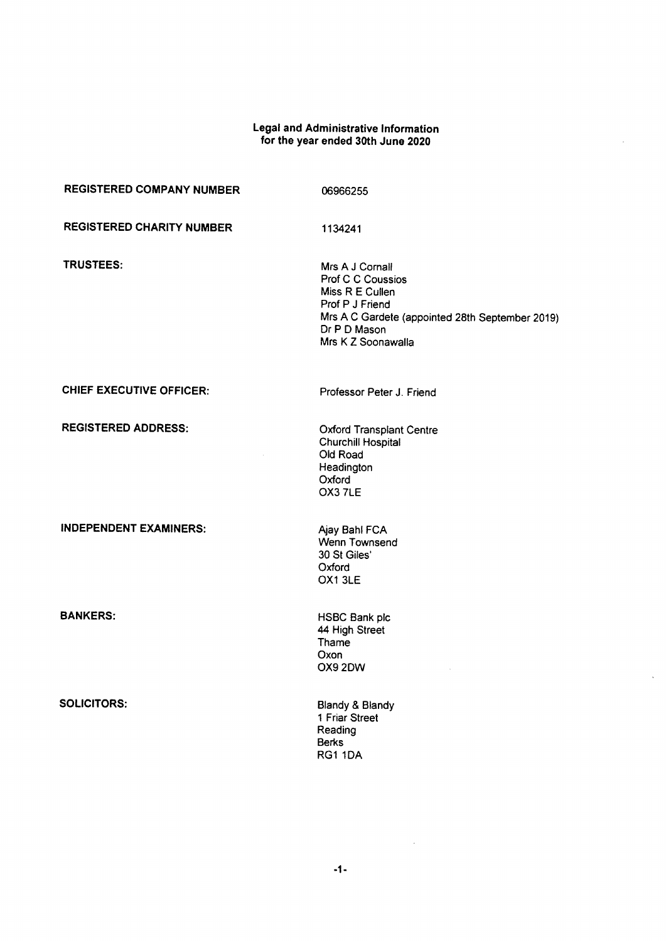# Legal and Administrative Informatic for the year ended 30th June 2020

 $\bar{z}$ 

 $\bar{\lambda}$ 

| <b>REGISTERED COMPANY NUMBER</b> | 06966255                                                                                                                                                            |
|----------------------------------|---------------------------------------------------------------------------------------------------------------------------------------------------------------------|
| <b>REGISTERED CHARITY NUMBER</b> | 1134241                                                                                                                                                             |
| <b>TRUSTEES:</b>                 | Mrs A J Cornall<br>Prof C C Coussios<br>Miss R E Cullen<br>Prof P J Friend<br>Mrs A C Gardete (appointed 28th September 2019)<br>Dr P D Mason<br>Mrs K Z Soonawalla |
| <b>CHIEF EXECUTIVE OFFICER:</b>  | Professor Peter J. Friend                                                                                                                                           |
| <b>REGISTERED ADDRESS:</b>       | <b>Oxford Transplant Centre</b><br><b>Churchill Hospital</b><br>Old Road<br>Headington<br>Oxford<br>OX3 7LE                                                         |
| <b>INDEPENDENT EXAMINERS:</b>    | Ajay Bahl FCA<br>Wenn Townsend<br>30 St Giles'<br>Oxford<br>OX1 3LE                                                                                                 |
| <b>BANKERS:</b>                  | HSBC Bank plc<br>44 High Street<br>Thame<br>Oxon<br>OX9 2DW                                                                                                         |
| <b>SOLICITORS:</b>               | Blandy & Blandy<br>1 Friar Street<br>Reading<br><b>Berks</b><br>RG1 1DA                                                                                             |

 $-1-$ 

 $\sim 10^{-1}$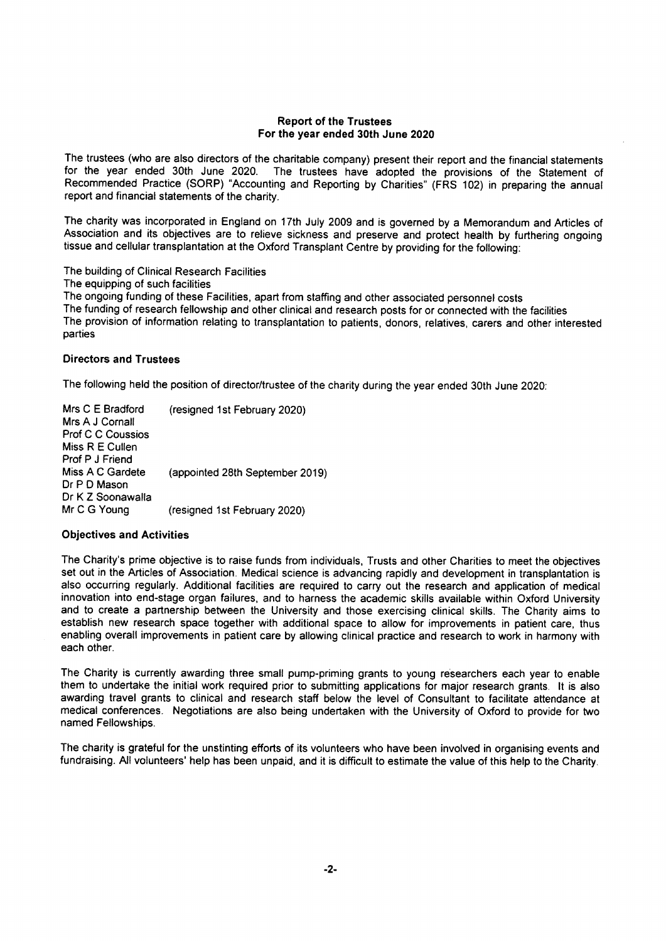### Report of the Trustees For the year ended 30th June 2020

The trustees (who are also directors of the charitable company) present their report and the financial statements for the year ended 30th June 2020. The trustees have adopted the provisions of the Statement of Recommended Practice (SORP) "Accounting and Reporting by Charities" (FRS 102) in preparing the annual report and financial statements of the charity.

The charity was incorporated in England on 17th July 2009 and is governed by a Memorandum and Articles of Association and its objectives are to relieve sickness and preserve and protect health by furthering ongoing tissue and cellular transplantation at the Oxford Transplant Centre by providing for the following:

The building of Clinical Research Facilities

The equipping of such facilities

The ongoing funding of these Facilities, apart from staffing and other associated personnel costs The funding of research fellowship and other clinical and research posts for or connected with the facilities The provision of information relating to transplantation to patients, donors, relatives, carers and other interested parties

# Directors and Trustees

The following held the position of director/trustee of the charity during the year ended 30th June 2020:

Mrs C E Bradford Mrs A J Cornall Prof C C Coussios Miss R E Cullen Prof P J Friend Miss A C Gardete Dr P D Mason Dr K Z Soonawalla Mr C G Young (resigned 1st February 2020) (appointed 28th September 2019) (resigned 1st February 2020)

# Objectives and Activities

The Charity's prime objective is to raise funds from individuals, Trusts and other Charities to meet the objectives set out in the Articles of Association. Medical science is advancing rapidly and development in transplantation is also occurring regularly. Additional facilities are required to carry out the research and application of medical innovation into end-stage organ failures, and to harness the academic skills available within Oxford University and to create a partnership between the University and those exercising clinical skills. The Charity aims to establish new research space together with additional space to allow for improvements in patient care, thus enabling overall improvements in patient care by allowing clinical practice and research to work in harmony with each other.

The Charity is currently awarding three small pump-priming grants to young researchers each year to enable them to undertake the initial work required prior to submitting applications for major research grants. It is also awarding travel grants to clinical and research staff below the level of Consultant to facilitate attendance at medical conferences. Negotiations are also being undertaken with the University of Oxford to provide for two named Fellowships.

The charity is grateful for the unstinting efforts of its volunteers who have been involved in organising events and fundraising. All volunteers' help has been unpaid, and it is difficult to estimate the value of this help to the Charity.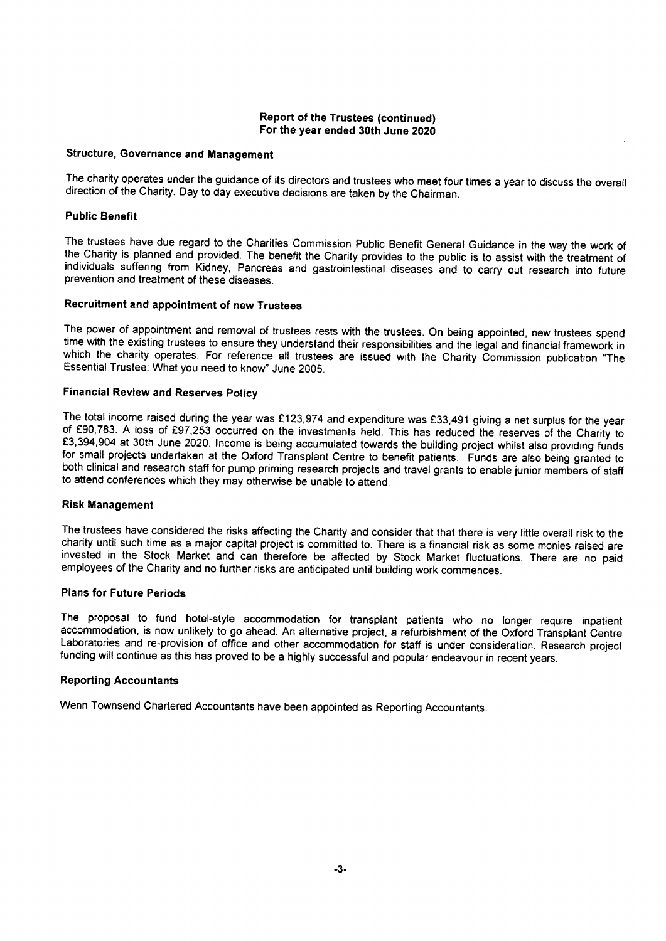# Report of the Trustees (continued) For the year ended 30th June 2020

# Structure, Governance and Management

The charity operates under the guidance of its directors and trustees who meet four times a year to discuss the overall direction of the Charity. Day to day executive decisions are taken by the Chairman.

### Public Benefit

The trustees have due regard to the Charities Commission Public Benefit General Guidance in the way the work of the Charity is planned and provided. The benefit the Charity provides to the public is to assist with the treatment of individuals suffering from Kidney, Pancreas and gastrointestinal diseases and to carry out research into future prevention and treatment of these diseases.

### Recruitment and appointment of new Trustees

The power of appointment and removal of trustees rests with the trustees. On being appointed, new trustees spend time with the existing trustees to ensure they understand their responsibilities and the legal and financial framework in which the charity operates. For reference all trustees are issued with the Charity Commission publication "The Essential Trustee: What you need to know" June 2005.

### Financial Review and Reserves Policy

The total income raised during the year was £123,974 and expenditure was £33,491 giving a net surplus for the year of f90,783. <sup>A</sup> loss of E97,253 occurred on the investments held. This has reduced the reserves of the Charity to E3,394,904 at 30th June 2020. Income is being accumulated towards the building project whilst also providing funds for small projects undertaken at the Oxford Transplant Centre to benefit patients. Funds are also being granted to both clinical and research staff for pump priming research projects and travel grants to enable junior members of staff to attend conferences which they may otherwise be unable to attend.

### Risk Management

The trustees have considered the risks affecting the Charity and consider that that there is very little overall risk to the charity until such time as a major capital project is committed to. There is a financial risk as some monies raised are invested in the Stock Market and can therefore be affected by Stock Market fluctuations. There are no paid employees of the Charity and no further risks are anticipated until building work commences.

### Plans for Future Periods

The proposal to fund hotel-style accommodation for transplant patients who no longer require inpatient accommodation, is now unlikely to go ahead. An alternative project, a refurbishment of the Oxford Transplant Centre Laboratories and re-provision of office and other accommodation for staff is under consideration. Research project funding will continue as this has proved to be a highly successful and popular endeavour in recent years.

### Reporting Accountants

Wenn Townsend Chartered Accountants have been appointed as Reporting Accountants.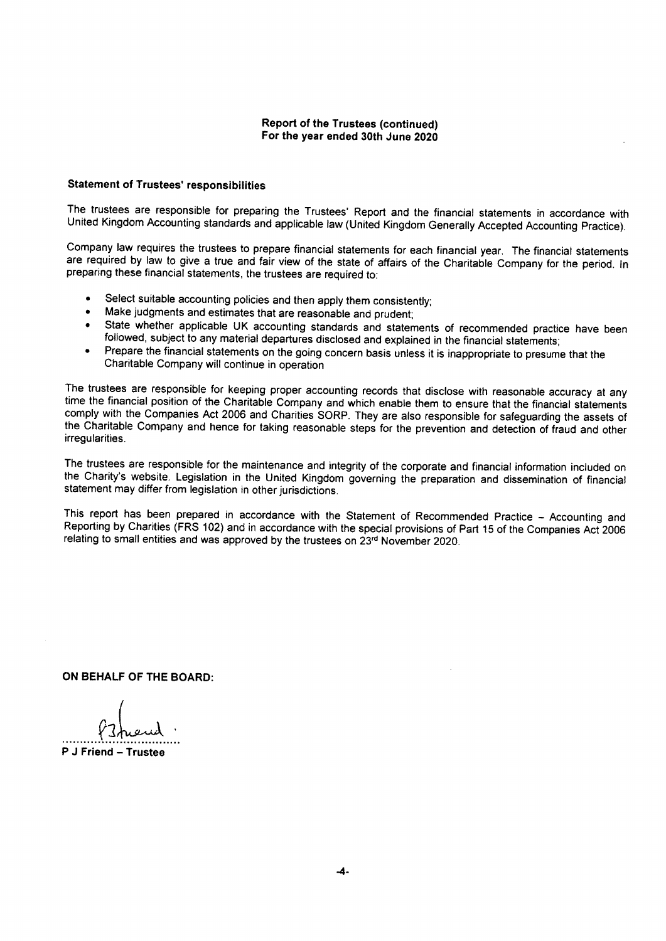# Report of the Trustees (continued) For the year ended 30th June 2020

### Statement of Trustees' responsibilities

The trustees are responsible for preparing the Trustees' Report and the financial statements in accordance with United Kingdom Accounting standards and applicable law (United Kingdom Generally Accepted Accounting Practice).

Company law requires the trustees to prepare financial statements for each financial year. The financial statements are required by law to give a true and fair view of the state of affairs of the Charitable Company for the period. In preparing these financial statements, the trustees are required to:

- Select suitable accounting policies and then apply them consistently;
- Make judgments and estimates that are reasonable and prudent;
- State whether applicable UK accounting standards and statements of recommended practice have been followed, subject to any material departures disclosed and explained in the financial statements;
- <sup>~</sup> Prepare the financial statements on the going concern basis unless it is inappropriate to presume that the Charitable Company will continue in operation

The trustees are responsible for keeping proper accounting records that disclose with reasonable accuracy at any time the financial position of the Charitable Company and which enable them to ensure that the financial statements comply with the Companies Act 2006 and Charities SORP. They are also responsible for safeguarding the assets of the Charitable Company and hence for taking reasonable steps for the prevention and detection of fraud and other irregularities.

The trustees are responsible for the maintenance and integrity of the corporate and financial information included on the Charity's website. Legislation in the United Kingdom governing the preparation and dissemination of financial statement may differ from legislation in other jurisdictions.

This report has been prepared in accordance with the Statement of Recommended Practice - Accounting and Reporting by Charities (FRS 102) and in accordance with the special provisions of Part 15 of the Companies Act 2006 relating to small entities and was approved by the trustees on 23" November 2020.

ON BEHALF OF THE BOARD:

<sup>P</sup> J Friend —Trustee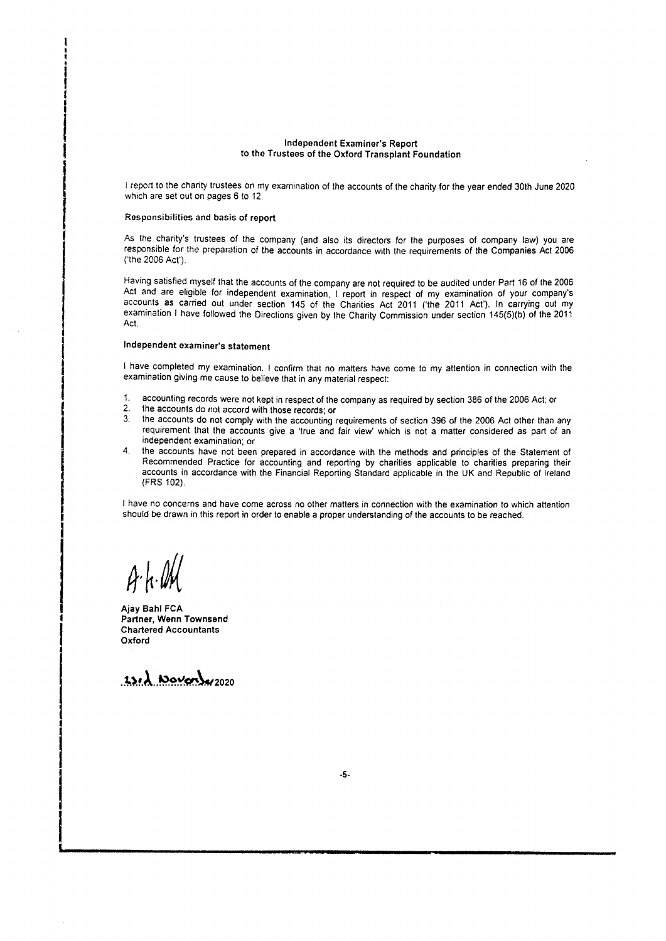### Independent Examiner's Report to the Trustees of the Oxford Transplant Foundation

<sup>I</sup> report to the charity trustees on my examination of the accounts of the charity for the year ended 30th June 2020 which are set out on pages 6 to 12.

### Responsibilities and basis of report

As the charity's trustees of the company (and also its directors for the purposes of company law) you are responsible for the preparation of the accounts in accordance with the requirements of the Companies Act 2006 ('the 2006 Act').

Having satisfied myself that the accounts of the company are not required to be audited under Part 16 of the 2006 Act and are eligible for independent examination, <sup>I</sup> report in respect of my examination of your company's accounts as carried out under section 145 of the Charities Act 2011 ('the 2011 Act'). In carrying out my examination <sup>I</sup> have followed the Directions given by the Charity Commission under section 145(5)(b) of the 2011 Act.

### Independent examiner's statement

I have completed my examination. I confirm that no matters have come to my attention in connection with the examination giving me cause to believe that in any material respect:

- $\mathbf{1}$ accounting records were not kept in respect of the company as required by section 386 of the 2006 Act; or
- 2. the accounts do not accord with those records; or<br>3. the accounts do not comply with the accounting
- the accounts do not comply with the accounting requirements of section 396 of the 2006 Act other than any requirement that the accounts give a 'true and fair view' which is not a matter considered as part of an independent examination; or
- 4. the accounts have not been prepared in accordance with the methods and principles of the Statement of Recommended Practice for accounting and reporting by charities applicable to charities preparing their accounts in accordance with the Financial Reporting Standard applicable in the UK and Republic of Ireland (FRS 102).

<sup>I</sup> have no concerns and have come across no other matters in connection with the examination to which attention should be drawn in this report in order to enable a proper understanding of the accounts to be reached.

 $A h M$ 

Ajay Bahl FCA Partner, Wenn Townsend Chartered Accountants Oxford

 $23.2$  Noverly 2020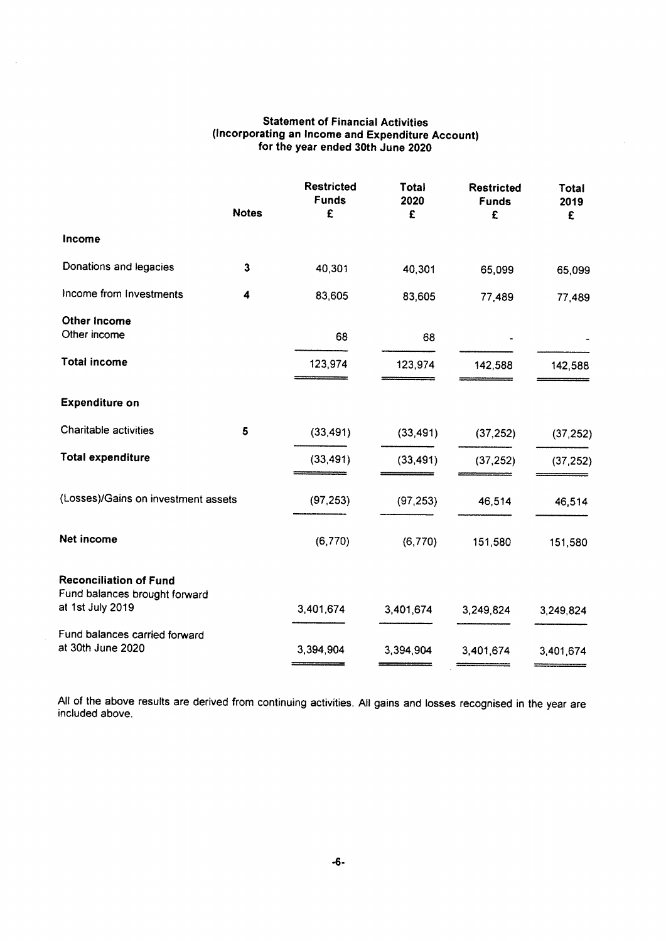# Statement of Financial Activities (incorporating an Income and Expenditure Account) for the year ended 30th June 2020

|                                                                | <b>Notes</b> | <b>Restricted</b><br><b>Funds</b><br>£ | Total<br>2020<br>£ | <b>Restricted</b><br><b>Funds</b><br>£ | Total<br>2019<br>£ |
|----------------------------------------------------------------|--------------|----------------------------------------|--------------------|----------------------------------------|--------------------|
| Income                                                         |              |                                        |                    |                                        |                    |
| Donations and legacies                                         | 3            | 40,301                                 | 40,301             | 65,099                                 | 65,099             |
| Income from Investments                                        | 4            | 83,605                                 | 83,605             | 77,489                                 | 77,489             |
| Other Income<br>Other income                                   |              | 68                                     | 68                 |                                        |                    |
| <b>Total income</b>                                            |              | 123,974                                | 123,974            | 142,588                                | 142,588            |
| <b>Expenditure on</b>                                          |              |                                        |                    |                                        |                    |
| Charitable activities                                          | 5            | (33, 491)                              | (33, 491)          | (37, 252)                              | (37, 252)          |
| <b>Total expenditure</b>                                       |              | (33, 491)                              | (33, 491)          | (37, 252)                              | (37, 252)          |
| (Losses)/Gains on investment assets                            |              | (97, 253)                              | (97, 253)          | 46,514                                 | 46,514             |
| Net income                                                     |              | (6,770)                                | (6,770)            | 151,580                                | 151,580            |
| <b>Reconciliation of Fund</b><br>Fund balances brought forward |              |                                        |                    |                                        |                    |
| at 1st July 2019                                               |              | 3,401,674                              | 3,401,674          | 3,249,824                              | 3,249,824          |
| Fund balances carried forward<br>at 30th June 2020             |              | 3,394,904                              | 3,394,904          | 3,401,674                              | 3,401,674          |

All of the above results are derived from continuing activities. All gains and losses recognised in the year are included above.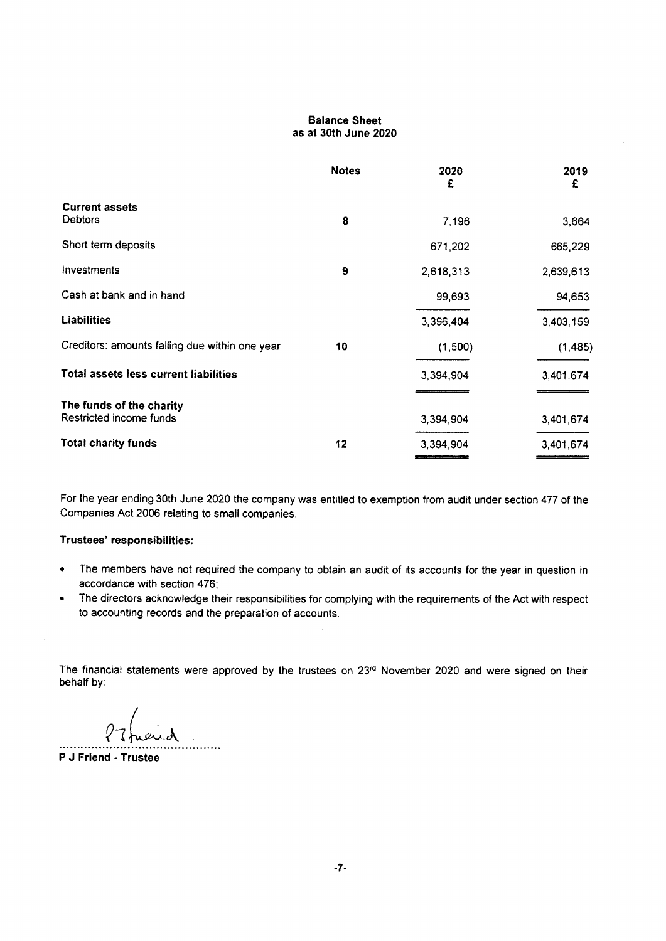# Balance Sheet as at 30th June 2020

|                                                | <b>Notes</b> | 2020<br>£ | 2019<br>£ |
|------------------------------------------------|--------------|-----------|-----------|
| <b>Current assets</b><br><b>Debtors</b>        | 8            | 7,196     | 3,664     |
| Short term deposits                            |              | 671,202   | 665,229   |
| Investments                                    | 9            | 2,618,313 | 2,639,613 |
| Cash at bank and in hand                       |              | 99,693    | 94,653    |
| <b>Liabilities</b>                             |              | 3,396,404 | 3,403,159 |
| Creditors: amounts falling due within one year | 10           | (1,500)   | (1, 485)  |
| Total assets less current liabilities          |              | 3,394,904 | 3,401,674 |
| The funds of the charity                       |              |           |           |
| Restricted income funds                        |              | 3,394,904 | 3,401,674 |
| <b>Total charity funds</b>                     | 12           | 3,394,904 | 3,401,674 |

For the year ending 30th June 2020 the company was entitled to exemption from audit under section 477 of the Companies Act 2006 relating to small companies.

# Trustees' responsibilities:

- <sup>~</sup> The members have not required the company to obtain an audit of its accounts for the year in question in accordance with section 476;
- The directors acknowledge their responsibilities for complying with the requirements of the Act with respect  $\bullet$ to accounting records and the preparation of accounts.

The financial statements were approved by the trustees on 23<sup>rd</sup> November 2020 and were signed on their behalf by:

. . . . . .

<sup>P</sup> J Friend - Trustee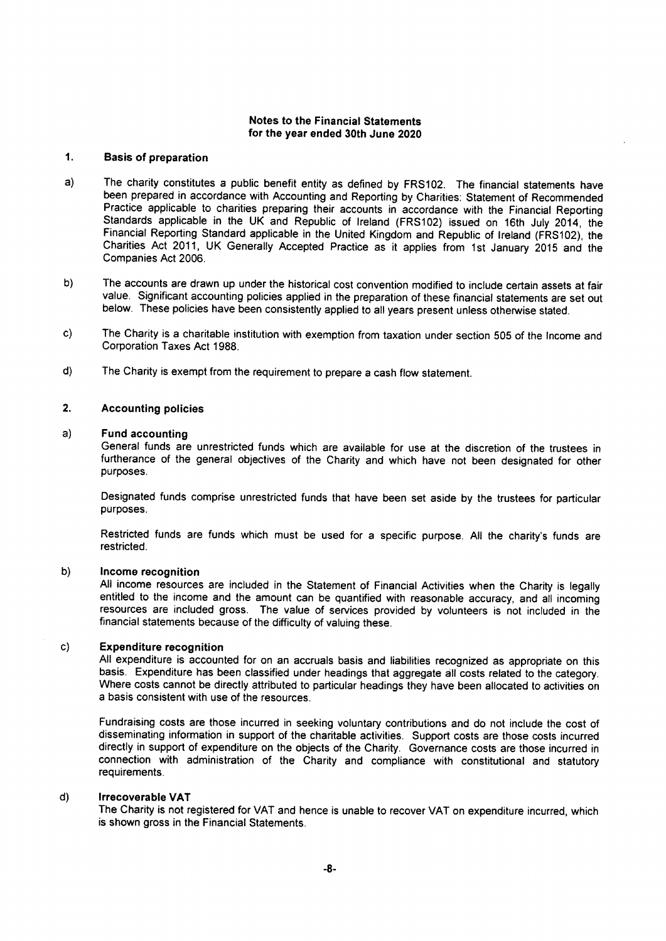#### $1.$ Basis of preparation

- The charity constitutes a public benefit entity as defined by FRS102. The financial statements have  $a)$ been prepared in accordance with Accounting and Reporting by Charities: Statement of Recommended Practice applicable to charities preparing their accounts in accordance with the Financial Reporting Standards applicable in the UK and Republic of Ireland (FRS102) issued on 16th July 2014, the Financial Reporting Standard applicable in the United Kingdom and Republic of Ireland (FRS102), the Charities Act 2011, UK Generally Accepted Practice as it applies from 1st January 2015 and the Companies Act 2006.
- The accounts are drawn up under the historical cost convention modified to include certain assets at fair  $b)$ value. Significant accounting policies applied in the preparation of these financial statements are set out below. These policies have been consistently applied to all years present unless otherwise stated.
- The Charity is a charitable institution with exemption from taxation under section 505 of the Income and  $c)$ Corporation Taxes Act 1988.
- The Charity is exempt from the requirement to prepare a cash flow statement.  $d)$

#### $2.$ Accounting policies

#### $a)$ Fund accounting

General funds are unrestricted funds which are available for use at the discretion of the trustees in furtherance of the general objectives of the Charity and which have not been designated for other purposes.

Designated funds comprise unrestricted funds that have been set aside by the trustees for particular purposes.

Restricted funds are funds which must be used for a specific purpose. All the charity's funds are restricted.

#### $b)$ Income recognition

All income resources are included in the Statement of Financial Activities when the Charity is legally entitled to the income and the amount can be quantified with reasonable accuracy, and all incoming resources are included gross. The value of services provided by volunteers is not included in the financial statements because of the difficulty of valuing these.

#### $c)$ Expenditure recognition

All expenditure is accounted for on an accruals basis and liabilities recognized as appropriate on this basis. Expenditure has been classified under headings that aggregate all costs related to the category. Where costs cannot be directly attributed to particular headings they have been allocated to activities on a basis consistent with use of the resources.

Fundraising costs are those incurred in seeking voluntary contributions and do not include the cost of disseminating information in support of the charitable activities. Support costs are those costs incurred directly in support of expenditure on the objects of the Charity. Governance costs are those incurred in connection with administration of the Charity and compliance with constitutional and statutory requirements.

#### d) Irrecoverable VAT

The Charity is not registered for VAT and hence is unable to recover VAT on expenditure incurred, which is shown gross in the Financial Statements.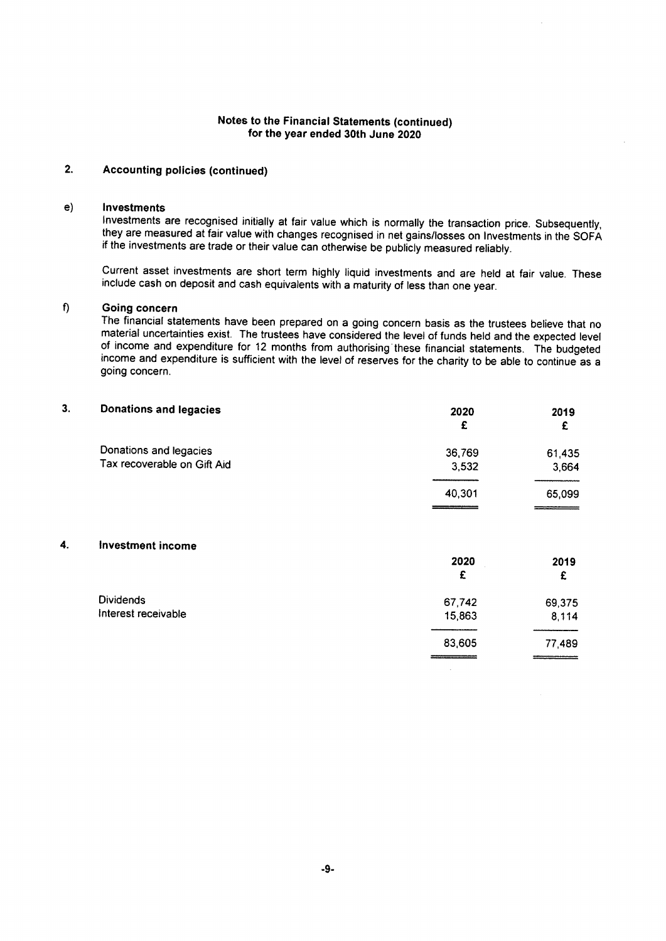# 2. Accounting policies (continued)

### e) Investments

Investments are recognised initially at fair value which is normally the transaction price. Subsequently, they are measured at fair value with changes recognised in net gains/losses on Investments in the SOFA if the investments are trade or their value can otherwise be publicly measured reliably.

Current asset investments are short term highly liquid investments and are held at fair value. These include cash on deposit and cash equivalents with a maturity of less than one year.

# f) Going concern

The financial statements have been prepared on a going concern basis as the trustees believe that no material uncertainties exist. The trustees have considered the level of funds held and the expected level of income and expenditure for 12 months from authorising these financial statements. The budgeted income and expenditure is sufficient with the level of reserves for the charity to be able to continue as a going concern.

| 3. | <b>Donations and legacies</b>                         | 2020<br>£       | 2019<br>£       |
|----|-------------------------------------------------------|-----------------|-----------------|
|    | Donations and legacies<br>Tax recoverable on Gift Aid | 36,769<br>3,532 | 61,435<br>3,664 |
|    |                                                       | 40,301          | 65,099          |
| 4. | Investment income                                     |                 |                 |
|    |                                                       | 2020<br>£       | 2019<br>£       |
|    | <b>Dividends</b>                                      | 67,742          | 69,375          |
|    | Interest receivable                                   | 15,863          | 8,114           |
|    |                                                       | 83,605          | 77,489          |

 $\sim 10^{-11}$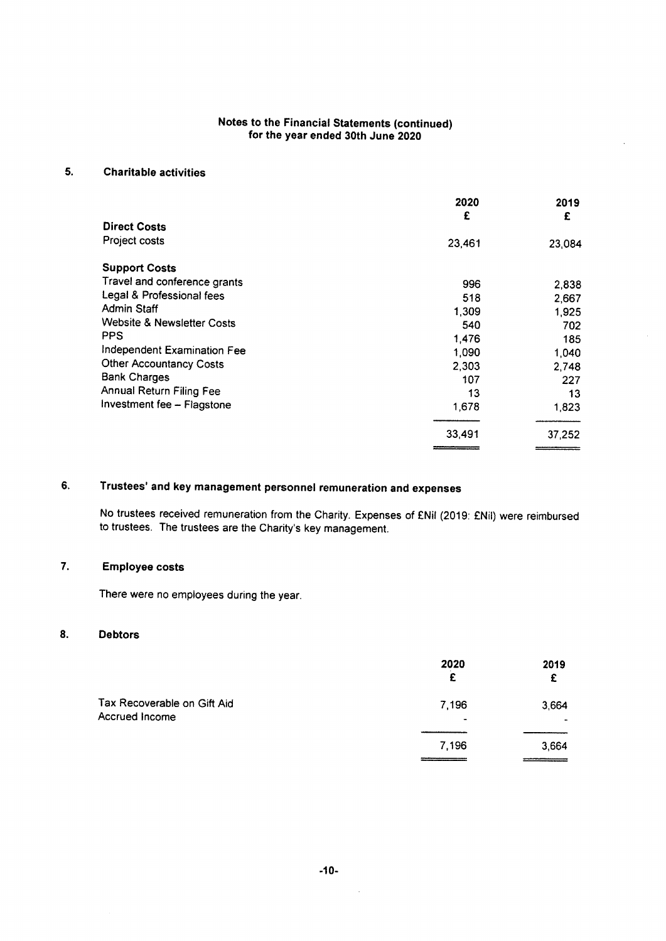# 5. Charitable activities

|                                       | 2020<br>£ | 2019<br>£ |
|---------------------------------------|-----------|-----------|
| <b>Direct Costs</b>                   |           |           |
| Project costs                         | 23,461    | 23,084    |
| <b>Support Costs</b>                  |           |           |
| Travel and conference grants          | 996       | 2,838     |
| Legal & Professional fees             | 518       | 2,667     |
| <b>Admin Staff</b>                    | 1,309     | 1.925     |
| <b>Website &amp; Newsletter Costs</b> | 540       | 702       |
| <b>PPS</b>                            | 1,476     | 185       |
| Independent Examination Fee           | 1.090     | 1,040     |
| <b>Other Accountancy Costs</b>        | 2,303     | 2,748     |
| <b>Bank Charges</b>                   | 107       | 227       |
| <b>Annual Return Filing Fee</b>       | 13        | 13        |
| Investment fee - Flagstone            | 1,678     | 1,823     |
|                                       | 33,491    | 37,252    |

# 6. Trustees' and key management personnel remuneration and expenses

No trustees received remuneration from the Charity. Expenses of ENil (2019: ENil) were reimbursed to trustees. The trustees are the Charity's key management.

# 7. Employee costs

There were no employees during the year.

# 8. Debtors

|                                               | 2020<br>£               | 2019<br>£       |
|-----------------------------------------------|-------------------------|-----------------|
| Tax Recoverable on Gift Aid<br>Accrued Income | 7,196<br>$\blacksquare$ | 3,664<br>$\sim$ |
|                                               | 7,196                   | 3,664           |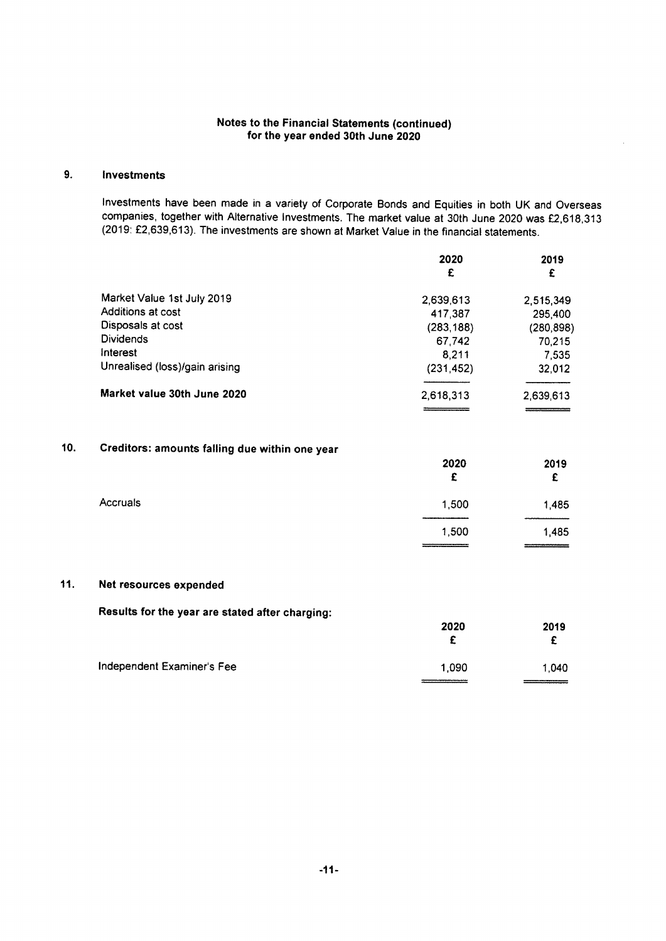# 9. Investments

Investments have been made in a variety of Corporate Bonds and Equities in both UK and Overseas companies, together with Alternative Investments. The market value at 30th June 2020 was E2,618,313 (2019: £2,639,613). The investments are shown at Market Value in the financial statements.

|                                | 2020        | 2019       |  |
|--------------------------------|-------------|------------|--|
|                                | £           | £          |  |
| Market Value 1st July 2019     | 2,639,613   | 2,515,349  |  |
| Additions at cost              | 417,387     | 295,400    |  |
| Disposals at cost              | (283,188)   | (280, 898) |  |
| <b>Dividends</b>               | 67.742      | 70,215     |  |
| Interest                       | 8,211       | 7,535      |  |
| Unrealised (loss)/gain arising | (231, 452)  | 32,012     |  |
| Market value 30th June 2020    | 2,618,313   | 2.639,613  |  |
|                                | ___________ |            |  |

# 10. Creditors: amounts falling due within one year

|          | 2020<br>£ | 2019<br>£ |
|----------|-----------|-----------|
| Accruals | 1,500     | 1,485     |
|          | 1,500     | 1,485     |

# 11. Net resources expended

Results for the year are stated after charging:

|                            | 2020  | 2019  |
|----------------------------|-------|-------|
|                            |       |       |
| Independent Examiner's Fee | 1.090 | 1,040 |
|                            |       |       |